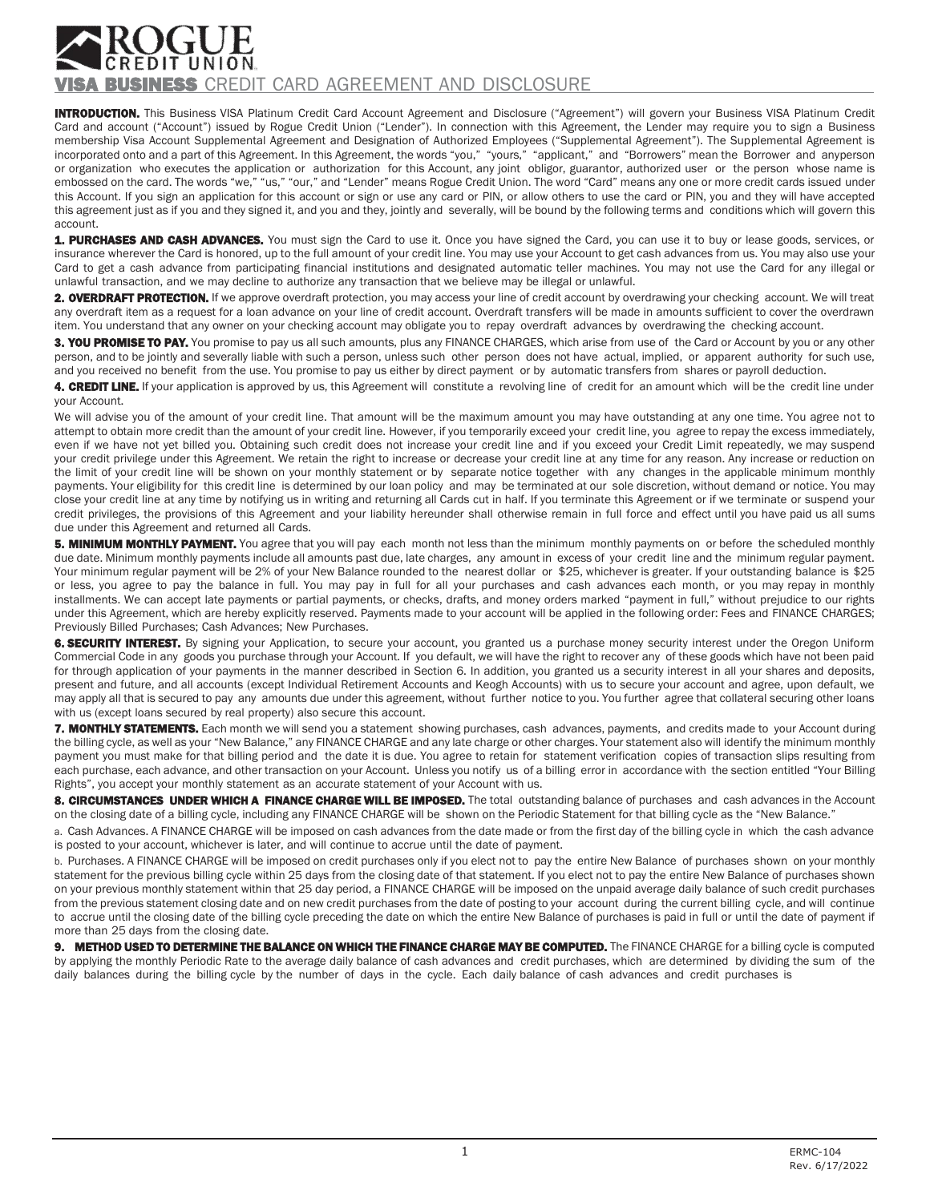## **BUSINESS** CREDIT CARD AGREEMENT AND DISCLOSURE

INTRODUCTION. This Business VISA Platinum Credit Card Account Agreement and Disclosure ("Agreement") will govern your Business VISA Platinum Credit Card and account ("Account") issued by Rogue Credit Union ("Lender"). In connection with this Agreement, the Lender may require you to sign a Business membership Visa Account Supplemental Agreement and Designation of Authorized Employees ("Supplemental Agreement"). The Supplemental Agreement is incorporated onto and a part of this Agreement. In this Agreement, the words "you," "yours," "applicant," and "Borrowers" mean the Borrower and anyperson or organization who executes the application or authorization for this Account, any joint obligor, guarantor, authorized user or the person whose name is embossed on the card. The words "we," "us," "our," and "Lender" means Rogue Credit Union. The word "Card" means any one or more credit cards issued under this Account. If you sign an application for this account or sign or use any card or PIN, or allow others to use the card or PIN, you and they will have accepted this agreement just as if you and they signed it, and you and they, jointly and severally, will be bound by the following terms and conditions which will govern this account.

1. PURCHASES AND CASH ADVANCES. You must sign the Card to use it. Once you have signed the Card, you can use it to buy or lease goods, services, or insurance wherever the Card is honored, up to the full amount of your credit line. You may use your Account to get cash advances from us. You may also use your Card to get a cash advance from participating financial institutions and designated automatic teller machines. You may not use the Card for any illegal or unlawful transaction, and we may decline to authorize any transaction that we believe may be illegal or unlawful.

2. OVERDRAFT PROTECTION. If we approve overdraft protection, you may access your line of credit account by overdrawing your checking account. We will treat any overdraft item as a request for a loan advance on your line of credit account. Overdraft transfers will be made in amounts sufficient to cover the overdrawn item. You understand that any owner on your checking account may obligate you to repay overdraft advances by overdrawing the checking account.

3. YOU PROMISE TO PAY. You promise to pay us all such amounts, plus any FINANCE CHARGES, which arise from use of the Card or Account by you or any other person, and to be jointly and severally liable with such a person, unless such other person does not have actual, implied, or apparent authority for such use, and you received no benefit from the use. You promise to pay us either by direct payment or by automatic transfers from shares or payroll deduction.

4. CREDIT LINE. If your application is approved by us, this Agreement will constitute a revolving line of credit for an amount which will be the credit line under your Account.

We will advise you of the amount of your credit line. That amount will be the maximum amount you may have outstanding at any one time. You agree not to attempt to obtain more credit than the amount of your credit line. However, if you temporarily exceed your credit line, you agree to repay the excess immediately, even if we have not yet billed you. Obtaining such credit does not increase your credit line and if you exceed your Credit Limit repeatedly, we may suspend your credit privilege under this Agreement. We retain the right to increase or decrease your credit line at any time for any reason. Any increase or reduction on the limit of your credit line will be shown on your monthly statement or by separate notice together with any changes in the applicable minimum monthly payments. Your eligibility for this credit line is determined by our loan policy and may be terminated at our sole discretion, without demand or notice. You may close your credit line at any time by notifying us in writing and returning all Cards cut in half. If you terminate this Agreement or if we terminate or suspend your credit privileges, the provisions of this Agreement and your liability hereunder shall otherwise remain in full force and effect until you have paid us all sums due under this Agreement and returned all Cards.

**5. MINIMUM MONTHLY PAYMENT.** You agree that you will pay each month not less than the minimum monthly payments on or before the scheduled monthly due date. Minimum monthly payments include all amounts past due, late charges, any amount in excess of your credit line and the minimum regular payment. Your minimum regular payment will be 2% of your New Balance rounded to the nearest dollar or \$25, whichever is greater. If your outstanding balance is \$25 or less, you agree to pay the balance in full. You may pay in full for all your purchases and cash advances each month, or you may repay in monthly installments. We can accept late payments or partial payments, or checks, drafts, and money orders marked "payment in full," without prejudice to our rights under this Agreement, which are hereby explicitly reserved. Payments made to your account will be applied in the following order: Fees and FINANCE CHARGES; Previously Billed Purchases; Cash Advances; New Purchases.

6. SECURITY INTEREST. By signing your Application, to secure your account, you granted us a purchase money security interest under the Oregon Uniform Commercial Code in any goods you purchase through your Account. If you default, we will have the right to recover any of these goods which have not been paid for through application of your payments in the manner described in Section 6. In addition, you granted us a security interest in all your shares and deposits, present and future, and all accounts (except Individual Retirement Accounts and Keogh Accounts) with us to secure your account and agree, upon default, we may apply all that is secured to pay any amounts due under this agreement, without further notice to you. You further agree that collateral securing other loans with us (except loans secured by real property) also secure this account.

7. MONTHLY STATEMENTS. Each month we will send you a statement showing purchases, cash advances, payments, and credits made to your Account during the billing cycle, as well as your "New Balance," any FINANCE CHARGE and any late charge or other charges. Your statement also will identify the minimum monthly payment you must make for that billing period and the date it is due. You agree to retain for statement verification copies of transaction slips resulting from each purchase, each advance, and other transaction on your Account. Unless you notify us of a billing error in accordance with the section entitled "Your Billing Rights", you accept your monthly statement as an accurate statement of your Account with us.

8. CIRCUMSTANCES UNDER WHICH A FINANCE CHARGE WILL BE IMPOSED. The total outstanding balance of purchases and cash advances in the Account on the closing date of a billing cycle, including any FINANCE CHARGE will be shown on the Periodic Statement for that billing cycle as the "New Balance."

a. Cash Advances. A FINANCE CHARGE will be imposed on cash advances from the date made or from the first day of the billing cycle in which the cash advance is posted to your account, whichever is later, and will continue to accrue until the date of payment.

b. Purchases. A FINANCE CHARGE will be imposed on credit purchases only if you elect not to pay the entire New Balance of purchases shown on your monthly statement for the previous billing cycle within 25 days from the closing date of that statement. If you elect not to pay the entire New Balance of purchases shown on your previous monthly statement within that 25 day period, a FINANCE CHARGE will be imposed on the unpaid average daily balance of such credit purchases from the previous statement closing date and on new credit purchases from the date of posting to your account during the current billing cycle, and will continue to accrue until the closing date of the billing cycle preceding the date on which the entire New Balance of purchases is paid in full or until the date of payment if more than 25 days from the closing date.

9. METHOD USED TO DETERMINE THE BALANCE ON WHICH THE FINANCE CHARGE MAY BE COMPUTED. The FINANCE CHARGE for a billing cycle is computed by applying the monthly Periodic Rate to the average daily balance of cash advances and credit purchases, which are determined by dividing the sum of the daily balances during the billing cycle by the number of days in the cycle. Each daily balance of cash advances and credit purchases is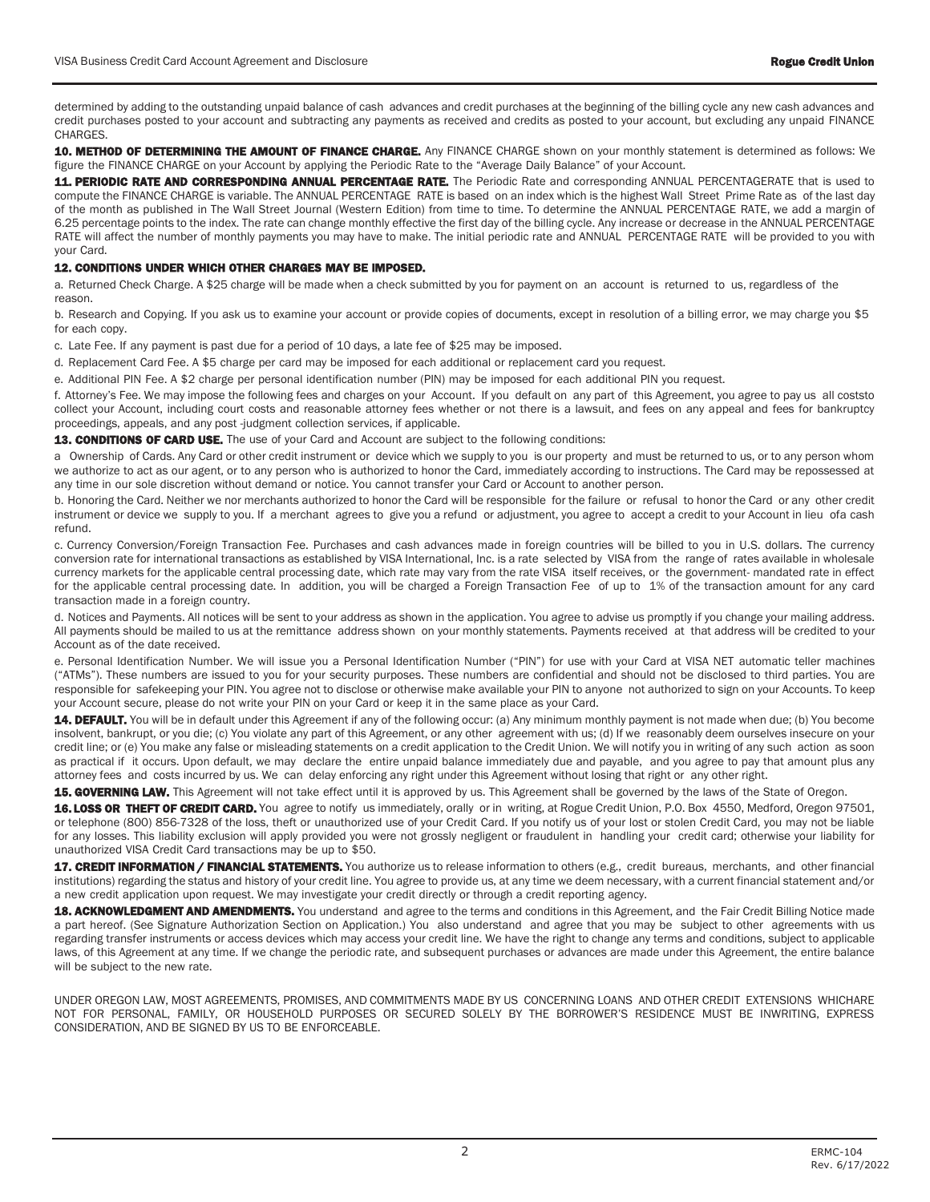determined by adding to the outstanding unpaid balance of cash advances and credit purchases at the beginning of the billing cycle any new cash advances and credit purchases posted to your account and subtracting any payments as received and credits as posted to your account, but excluding any unpaid FINANCE CHARGES.

10. METHOD OF DETERMINING THE AMOUNT OF FINANCE CHARGE. Any FINANCE CHARGE shown on your monthly statement is determined as follows: We figure the FINANCE CHARGE on your Account by applying the Periodic Rate to the "Average Daily Balance" of your Account.

11. PERIODIC RATE AND CORRESPONDING ANNUAL PERCENTAGE RATE. The Periodic Rate and corresponding ANNUAL PERCENTAGERATE that is used to compute the FINANCE CHARGE is variable. The ANNUAL PERCENTAGE RATE is based on an index which is the highest Wall Street Prime Rate as of the last day of the month as published in The Wall Street Journal (Western Edition) from time to time. To determine the ANNUAL PERCENTAGE RATE, we add a margin of 6.25 percentage points to the index. The rate can change monthly effective the first day of the billing cycle. Any increase or decrease in the ANNUAL PERCENTAGE RATE will affect the number of monthly payments you may have to make. The initial periodic rate and ANNUAL PERCENTAGE RATE will be provided to you with your Card.

## 12. CONDITIONS UNDER WHICH OTHER CHARGES MAY BE IMPOSED.

a. Returned Check Charge. A \$25 charge will be made when a check submitted by you for payment on an account is returned to us, regardless of the reason.

b. Research and Copying. If you ask us to examine your account or provide copies of documents, except in resolution of a billing error, we may charge you \$5 for each copy.

c. Late Fee. If any payment is past due for a period of 10 days, a late fee of \$25 may be imposed.

d. Replacement Card Fee. A \$5 charge per card may be imposed for each additional or replacement card you request.

e. Additional PIN Fee. A \$2 charge per personal identification number (PIN) may be imposed for each additional PIN you request.

f. Attorney's Fee. We may impose the following fees and charges on your Account. If you default on any part of this Agreement, you agree to pay us all coststo collect your Account, including court costs and reasonable attorney fees whether or not there is a lawsuit, and fees on any appeal and fees for bankruptcy proceedings, appeals, and any post -judgment collection services, if applicable.

13. CONDITIONS OF CARD USE. The use of your Card and Account are subject to the following conditions:

a Ownership of Cards. Any Card or other credit instrument or device which we supply to you is our property and must be returned to us, or to any person whom we authorize to act as our agent, or to any person who is authorized to honor the Card, immediately according to instructions. The Card may be repossessed at any time in our sole discretion without demand or notice. You cannot transfer your Card or Account to another person.

b. Honoring the Card. Neither we nor merchants authorized to honor the Card will be responsible for the failure or refusal to honor the Card or any other credit instrument or device we supply to you. If a merchant agrees to give you a refund or adjustment, you agree to accept a credit to your Account in lieu ofa cash refund.

c. Currency Conversion/Foreign Transaction Fee. Purchases and cash advances made in foreign countries will be billed to you in U.S. dollars. The currency conversion rate for international transactions as established by VISA International, Inc. is a rate selected by VISA from the range of rates available in wholesale currency markets for the applicable central processing date, which rate may vary from the rate VISA itself receives, or the government- mandated rate in effect for the applicable central processing date. In addition, you will be charged a Foreign Transaction Fee of up to 1% of the transaction amount for any card transaction made in a foreign country.

d. Notices and Payments. All notices will be sent to your address as shown in the application. You agree to advise us promptly if you change your mailing address. All payments should be mailed to us at the remittance address shown on your monthly statements. Payments received at that address will be credited to your Account as of the date received.

e. Personal Identification Number. We will issue you a Personal Identification Number ("PIN") for use with your Card at VISA NET automatic teller machines ("ATMs"). These numbers are issued to you for your security purposes. These numbers are confidential and should not be disclosed to third parties. You are responsible for safekeeping your PIN. You agree not to disclose or otherwise make available your PIN to anyone not authorized to sign on your Accounts. To keep your Account secure, please do not write your PIN on your Card or keep it in the same place as your Card.

14. DEFAULT. You will be in default under this Agreement if any of the following occur: (a) Any minimum monthly payment is not made when due; (b) You become insolvent, bankrupt, or you die; (c) You violate any part of this Agreement, or any other agreement with us; (d) If we reasonably deem ourselves insecure on your credit line; or (e) You make any false or misleading statements on a credit application to the Credit Union. We will notify you in writing of any such action as soon as practical if it occurs. Upon default, we may declare the entire unpaid balance immediately due and payable, and you agree to pay that amount plus any attorney fees and costs incurred by us. We can delay enforcing any right under this Agreement without losing that right or any other right.

15. GOVERNING LAW. This Agreement will not take effect until it is approved by us. This Agreement shall be governed by the laws of the State of Oregon.

16. LOSS OR THEFT OF CREDIT CARD. You agree to notify us immediately, orally or in writing, at Rogue Credit Union, P.O. Box 4550, Medford, Oregon 97501, or telephone (800) 856-7328 of the loss, theft or unauthorized use of your Credit Card. If you notify us of your lost or stolen Credit Card, you may not be liable for any losses. This liability exclusion will apply provided you were not grossly negligent or fraudulent in handling your credit card; otherwise your liability for unauthorized VISA Credit Card transactions may be up to \$50.

17. CREDIT INFORMATION / FINANCIAL STATEMENTS. You authorize us to release information to others (e.g., credit bureaus, merchants, and other financial institutions) regarding the status and history of your credit line. You agree to provide us, at any time we deem necessary, with a current financial statement and/or a new credit application upon request. We may investigate your credit directly or through a credit reporting agency.

18. ACKNOWLEDGMENT AND AMENDMENTS. You understand and agree to the terms and conditions in this Agreement, and the Fair Credit Billing Notice made a part hereof. (See Signature Authorization Section on Application.) You also understand and agree that you may be subject to other agreements with us regarding transfer instruments or access devices which may access your credit line. We have the right to change any terms and conditions, subject to applicable laws, of this Agreement at any time. If we change the periodic rate, and subsequent purchases or advances are made under this Agreement, the entire balance will be subject to the new rate.

UNDER OREGON LAW, MOST AGREEMENTS, PROMISES, AND COMMITMENTS MADE BY US CONCERNING LOANS AND OTHER CREDIT EXTENSIONS WHICHARE NOT FOR PERSONAL, FAMILY, OR HOUSEHOLD PURPOSES OR SECURED SOLELY BY THE BORROWER'S RESIDENCE MUST BE INWRITING, EXPRESS CONSIDERATION, AND BE SIGNED BY US TO BE ENFORCEABLE.